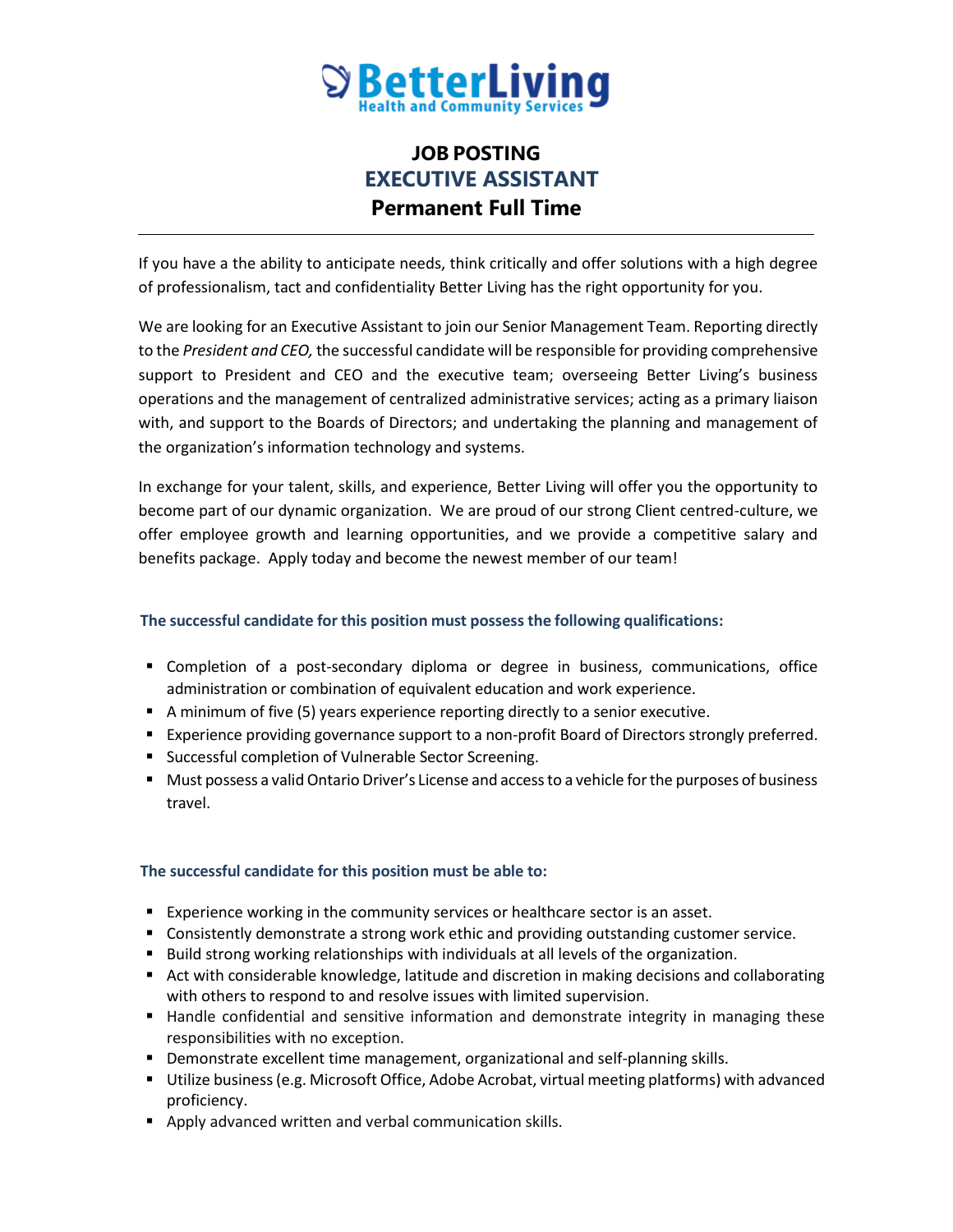

## **JOB POSTING EXECUTIVE ASSISTANT Permanent Full Time**

If you have a the ability to anticipate needs, think critically and offer solutions with a high degree of professionalism, tact and confidentiality Better Living has the right opportunity for you.

We are looking for an Executive Assistant to join our Senior Management Team. Reporting directly to the *President and CEO,* the successful candidate will be responsible for providing comprehensive support to President and CEO and the executive team; overseeing Better Living's business operations and the management of centralized administrative services; acting as a primary liaison with, and support to the Boards of Directors; and undertaking the planning and management of the organization's information technology and systems.

In exchange for your talent, skills, and experience, Better Living will offer you the opportunity to become part of our dynamic organization. We are proud of our strong Client centred-culture, we offer employee growth and learning opportunities, and we provide a competitive salary and benefits package. Apply today and become the newest member of our team!

## **The successful candidate for this position must possess the following qualifications:**

- Completion of a post-secondary diploma or degree in business, communications, office administration or combination of equivalent education and work experience.
- A minimum of five (5) years experience reporting directly to a senior executive.
- **Experience providing governance support to a non-profit Board of Directors strongly preferred.**
- **Successful completion of Vulnerable Sector Screening.**
- Must possess a valid Ontario Driver's License and access to a vehicle for the purposes of business travel.

## **The successful candidate for this position must be able to:**

- Experience working in the community services or healthcare sector is an asset.
- Consistently demonstrate a strong work ethic and providing outstanding customer service.
- Build strong working relationships with individuals at all levels of the organization.
- Act with considerable knowledge, latitude and discretion in making decisions and collaborating with others to respond to and resolve issues with limited supervision.
- Handle confidential and sensitive information and demonstrate integrity in managing these responsibilities with no exception.
- Demonstrate excellent time management, organizational and self-planning skills.
- Utilize business (e.g. Microsoft Office, Adobe Acrobat, virtual meeting platforms) with advanced proficiency.
- **Apply advanced written and verbal communication skills.**